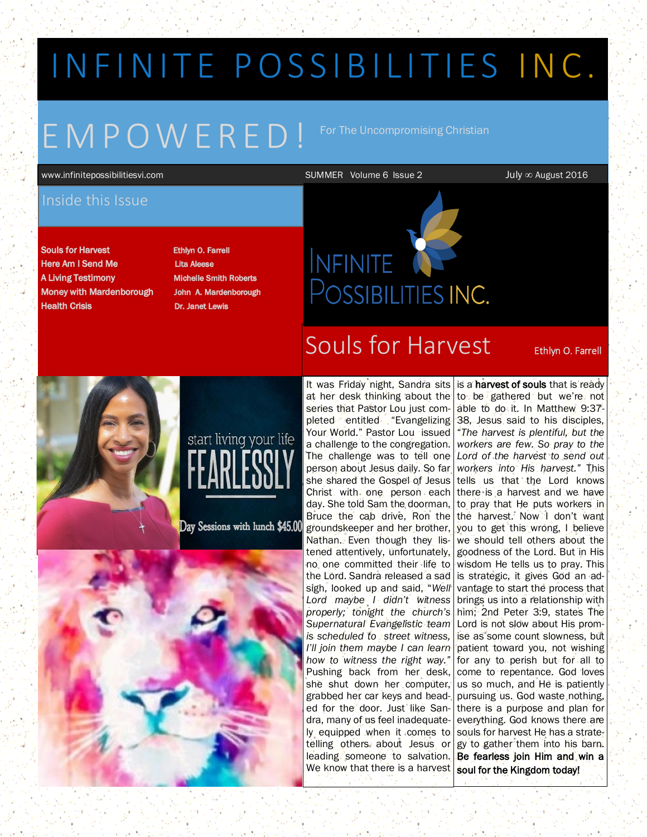# IN FINITE POSSIBILITIES INC.

# E M P O W E R E D !

For The Uncompromising Christian

www.infinitepossibilitiesvi.com SUMMER Volume 6 Issue 2 July ∞ August 2016

## Inside this Issue

**Souls for Harvest Here Am I Send Me A Living Testimony Money with Mardenborough Health Crisis** 

Ethlyn O. Farrell **Lita Aleese Michelle Smith Roberts** John A. Mardenborough **Dr. Janet Lewis** 

## Souls for Harvest Ethlyn 0. Farrell

POSSIBILITIES INC.

**INFINITE** 



It was Friday night, Sandra sits at her desk thinking about the series that Pastor Lou just com-Your World." Pastor Lou issued a challenge to the congregation. The challenge was to tell one person about Jesus daily. So far she shared the Gospel of Jesus Christ with one person each day. She told Sam the doorman, Bruce the cab drive, Ron the groundskeeper and her brother, Nathan. Even though they listened attentively, unfortunately, no one committed their life to the Lord. Sandra released a sad sigh, looked up and said, "*Well Lord maybe I didn't witness properly; tonight the church's Supernatural Evangelistic team is scheduled to street witness, I'll join them maybe I can learn how to witness the right way."*  Pushing back from her desk, she shut down her computer, grabbed her car keys and headed for the door. Just like Sandra, many of us feel inadequately equipped when it comes to telling others about Jesus or leading someone to salvation. We know that there is a harvest

pleted entitled "Evangelizing 38, Jesus said to his disciples, is a harvest of souls that is ready to be gathered but we're not able to do it. In Matthew 9:37- "*The harvest is plentiful, but the workers are few. So pray to the Lord of the harvest to send out workers into His harvest."* This tells us that the Lord knows there is a harvest and we have to pray that He puts workers in the harvest. Now I don't want you to get this wrong, I believe we should tell others about the goodness of the Lord. But in His wisdom He tells us to pray. This is strategic, it gives God an advantage to start the process that brings us into a relationship with him; 2nd Peter 3:9, states The Lord is not slow about His promise as some count slowness, but patient toward you, not wishing for any to perish but for all to come to repentance. God loves us so much, and He is patiently pursuing us. God waste nothing, there is a purpose and plan for everything. God knows there are souls for harvest He has a strategy to gather them into his barn. Be fearless join Him and win a soul for the Kingdom today!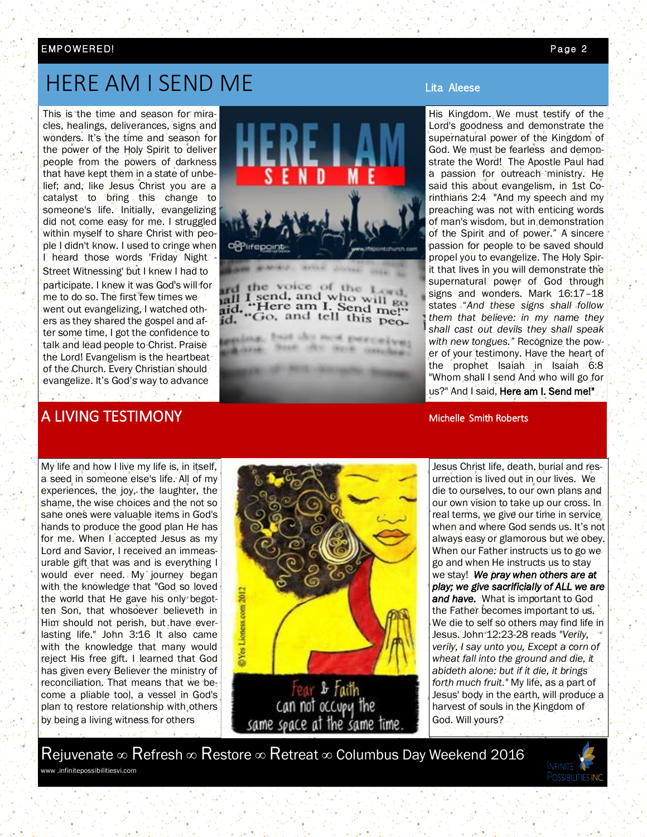#### EMP OWERE D! Page 2

## HERE AM I SEND ME

This is the time and season for miracles, healings, deliverances, signs and wonders. It's the time and season for the power of the Holy Spirit to deliver people from the powers of darkness that have kept them in a state of unbelief; and, like Jesus Christ you are a catalyst to bring this change to someone's life. Initially, evangelizing did not come easy for me. I struggled within myself to share Christ with people I didn't know. I used to cringe when I heard those words 'Friday Night - Street Witnessing' but I knew I had to participate. I knew it was God's will for me to do so. The first few times we went out evangelizing, I watched others as they shared the gospel and after some time, I got the confidence to talk and lead people to Christ. Praise the Lord! Evangelism is the heartbeat of the Church. Every Christian should evangelize. It's God's way to advance x i antik banda



the voice of the 1 If I send, and who will go aid, "Here am I. Send me!"<br>id. "Go, and tell this peo-

ag, but the next perceives

His Kingdom. We must testify of the Lord's goodness and demonstrate the supernatural power of the Kingdom of God. We must be fearless and demonstrate the Word! The Apostle Paul had a passion for outreach ministry. He said this about evangelism, in 1st Corinthians 2:4 "And my speech and my preaching was not with enticing words of man's wisdom, but in demonstration of the Spirit and of power." A sincere passion for people to be saved should propel you to evangelize. The Holy Spirit that lives in you will demonstrate the supernatural power of God through signs and wonders. Mark 16:17-18 states "*And these signs shall follow them that believe: in my name they shall cast out devils they shall speak with new tongues."* Recognize the power of your testimony. Have the heart of the prophet Isaiah in Isaiah 6:8 "Whom shall I send And who will go for us?" And I said, Here am I. Send me!"

Jesus Christ life, death, burial and resurrection is lived out in our lives. We die to ourselves, to our own plans and our own vision to take up our cross. In real terms, we give our time in service when and where God sends us. It's not always easy or glamorous but we obey. When our Father instructs us to go we go and when He instructs us to stay we stay! *We pray when others are at play; we give sacrificially of ALL we are and have.* What is important to God the Father becomes important to us. We die to self so others may find life in Jesus. John 12:23-28 reads *"Verily, verily, I say unto you, Except a corn of wheat fall into the ground and die, it abideth alone: but if it die, it brings forth much fruit."* My life, as a part of Jesus' body in the earth, will produce a harvest of souls in the Kingdom of God. Will yours?

Rejuvenate ∞ Refresh ∞ Restore ∞ Retreat ∞ Columbus Day Weekend 2016 www .infinitepossibilitiesvi.com



## A LIVING TESTIMONY AND THE STATE OF THE SMITH ROBERT STATES AND THE SMITH ROBERTS.

My life and how I live my life is, in itself, a seed in someone else's life. All of my experiences, the joy, the laughter, the shame, the wise choices and the not so sane ones were valuable items in God's hands to produce the good plan He has for me. When I accepted Jesus as my Lord and Savior, I received an immeasurable gift that was and is everything I would ever need. My journey began with the knowledge that "God so loved the world that He gave his only begotten Son, that whosoever believeth in Him should not perish, but have everlasting life." John 3:16 It also came with the knowledge that many would reject His free gift. I learned that God has given every Believer the ministry of reconciliation. That means that we become a pliable tool, a vessel in God's plan to restore relationship with others by being a living witness for others

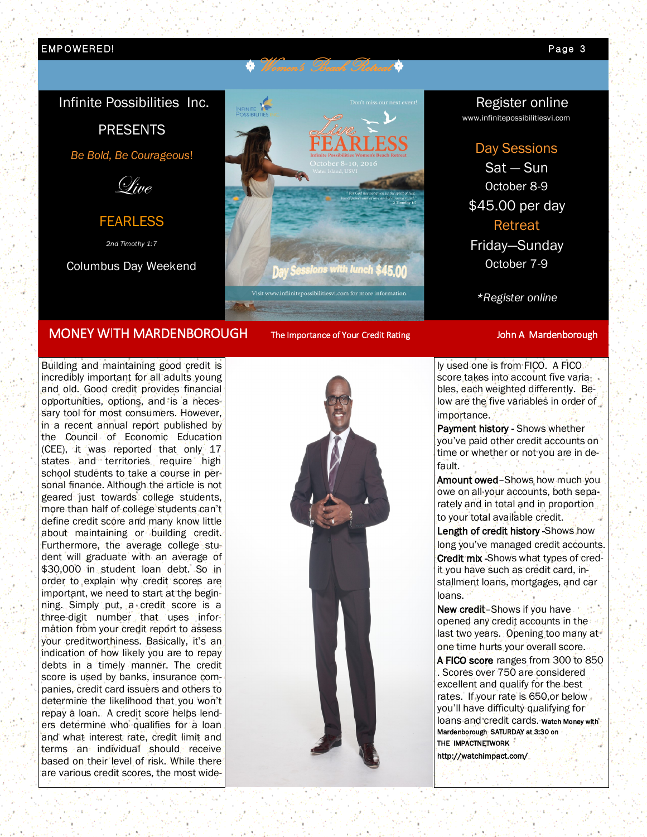#### EMP OWER E D! Page 3

### Infinite Possibilities Inc.

PRESENTS

*Be Bold, Be Courageous*!



FEARLESS

*2nd Timothy 1:7* 

Columbus Day Weekend



### MONEY WITH MARDENBOROUGH The Importance of Your Credit Rating John A Mardenborough

Building and maintaining good credit is incredibly important for all adults young and old. Good credit provides financial opportunities, options, and is a necessary tool for most consumers. However, in a recent annual report published by the Council of Economic Education (CEE), it was reported that only 17 states and territories require high school students to take a course in personal finance. Although the article is not geared just towards college students, more than half of college students can't define credit score and many know little about maintaining or building credit. Furthermore, the average college student will graduate with an average of \$30,000 in student loan debt. So in order to explain why credit scores are important, we need to start at the beginning. Simply put, a credit score is a three-digit number that uses information from your credit report to assess your creditworthiness. Basically, it's an indication of how likely you are to repay debts in a timely manner. The credit score is used by banks, insurance companies, credit card issuers and others to determine the likelihood that you won't repay a loan. A credit score helps lenders determine who qualifies for a loan and what interest rate, credit limit and terms an individual should receive based on their level of risk. While there are various credit scores, the most wide-

## Register online

www.infinitepossibilitiesvi.com

#### Day Sessions

Sat — Sun October 8-9 \$45.00 per day Retreat Friday—Sunday

October 7-9

*\*Register online*

ly used one is from FICO. A FICO score takes into account five variables, each weighted differently. Below are the five variables in order of importance.

Payment history - Shows whether you've paid other credit accounts on time or whether or not you are in default.

Amount owed–Shows how much you owe on all your accounts, both separately and in total and in proportion to your total available credit.

Length of credit history -Shows how long you've managed credit accounts. Credit mix -Shows what types of credit you have such as credit card, installment loans, mortgages, and car loans.

New credit–Shows if you have opened any credit accounts in the last two years. Opening too many at one time hurts your overall score.

A FICO score ranges from 300 to 850 . Scores over 750 are considered excellent and qualify for the best rates. If your rate is 650,or below you'll have difficulty qualifying for loans and credit cards. watch Money with Mardenborough SATURDAY at 3:30 on THE IMPACTNETWORK

http://watchimpact.com/